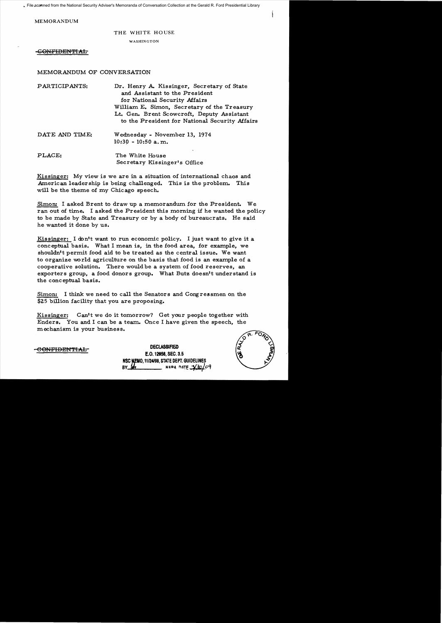File scanned from the National Security Adviser's Memoranda of Conversation Collection at the Gerald R. Ford Presidential Library

MEMORANDUM

## THE WHITE HOUSE

WASHINGTON

GONFIDENTIAL

## MEMORANDUM OF CONVERSATION

| PARTICIPANTS:  | Dr. Henry A. Kissinger, Secretary of State<br>and Assistant to the President<br>for National Security Affairs<br>William E. Simon, Secretary of the Treasury<br>Lt. Gen. Brent Scowcroft, Deputy Assistant<br>to the President for National Security Affairs |
|----------------|--------------------------------------------------------------------------------------------------------------------------------------------------------------------------------------------------------------------------------------------------------------|
| DATE AND TIME: | Wednesday - November 13, 1974<br>$10:30 - 10:50$ a.m.                                                                                                                                                                                                        |
| PLACE:         | The White House<br>Secretary Kissinger's Office                                                                                                                                                                                                              |

Kissinger: My view is we are in a situation of international chaos and American leadership is being challenged. This is the problem. This will be the theme of my Chic ago speech.

Simon: I asked Brent to draw up a memorandum for the President. We ran out of time. I asked the President this morning if he wanted the policy to be made by State and Treasury or by a body of bureaucrats. He said he wanted it done by us.

Kissinger: I don't want to run economic policy. I just want to give it a conceptual basis. What I mean is, in the food area, for example, we shouldn't permit food aid to be treated as the central issue. We want to organize vvorld agriculture on the basis that food is an example of a cooperative solution. There would be a system of food reserves, an exporters group, a food donors group. What Butz doesn't understand is the conc eptual basis.

Simon: I think we need to call the Senators and Congressmen on the \$25 billion facility that you are proposing.

Kissinger: Can't we do it tomorrow? Get your people together with Enders. You and I can be a team. Once I have given the speech, the mechanism is your business.



<del>CONFIDENTIAL</del>

**DECLASSIFIED** 1:.0. 12958, SEC. 3.5 **NSC MEMO. 11/24/98, STATE DEPT. GUIDELII** BIADA DATE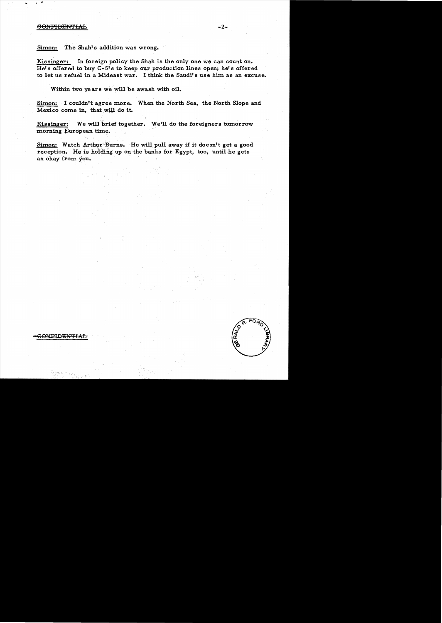## CONFIDENTIAL

ONFIDENTIAL

Simon: The Shah's addition was wrong.

Kissinger: In foreign policy the Shah is the only one we can count on. He's offered to buy C-5's to keep our production lines open; he's offered to let us refuel in a Mideast war. I think the Saudi's use him as an excuse.

-2

Within two years we will be awash with oil.

Simon: I couldn't agree more. When the North Sea, the North Slope and Mexico come in, that will do it.

Kissinger: We will brief together. We'll do the foreigners tomorrow morning European time.

Simon: Watch Arthur Burns. He will pull away if it doesn't get a good reception. He is holding up on the banks for Egypt, too, until he gets an okay from you. .